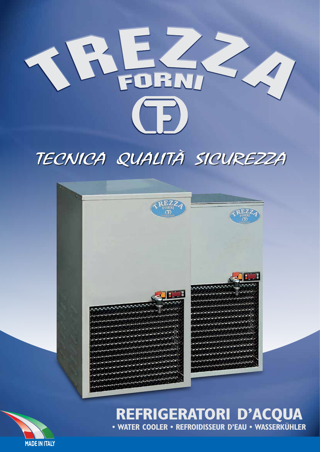

# TECNICA QUALITÀ SICUREZZA



# **REFRIGERATORI D'ACQUA • WATER COOLER • REFROIDISSEUR D'EAU • WASSERKÜHLER**